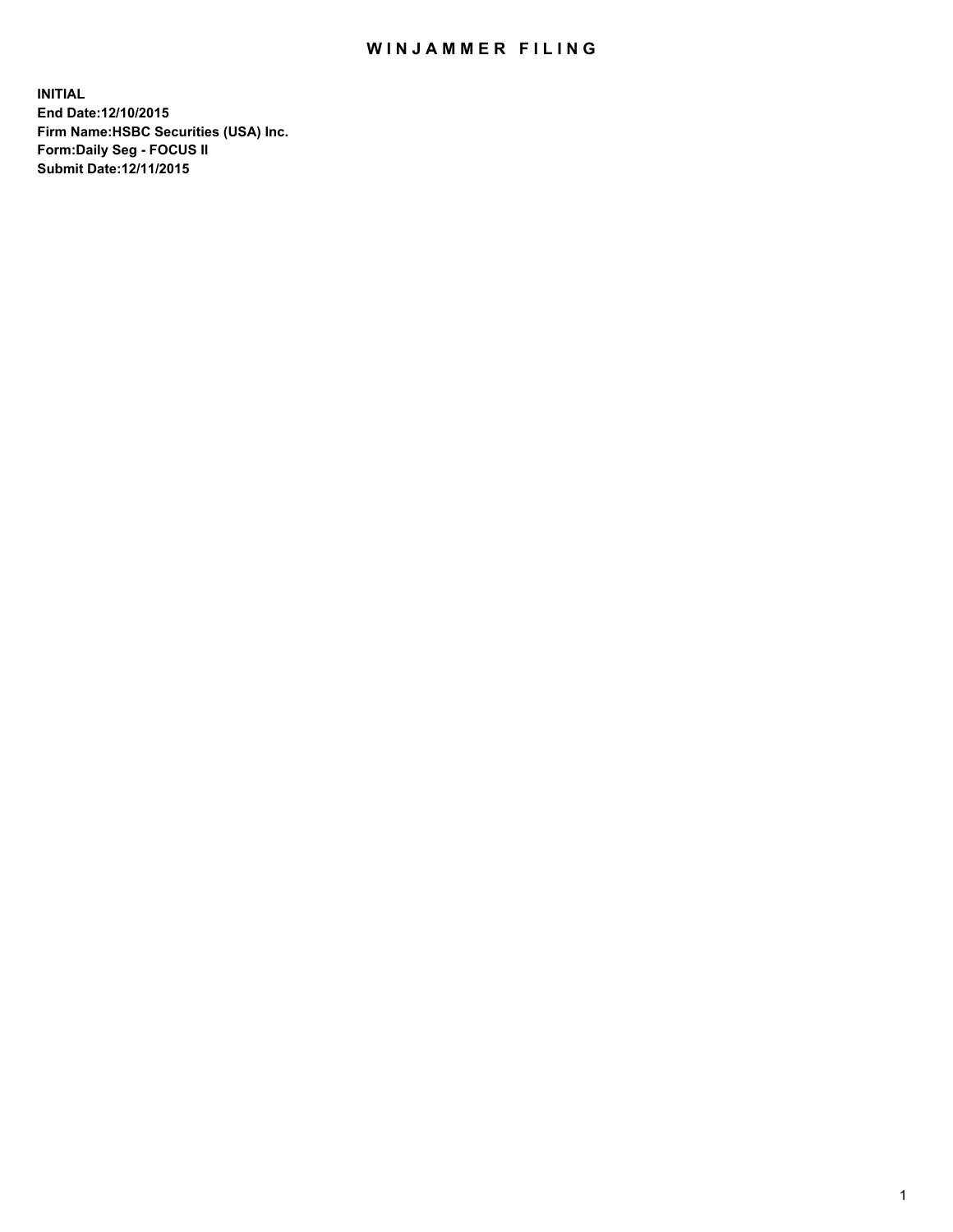## WIN JAMMER FILING

**INITIAL End Date:12/10/2015 Firm Name:HSBC Securities (USA) Inc. Form:Daily Seg - FOCUS II Submit Date:12/11/2015**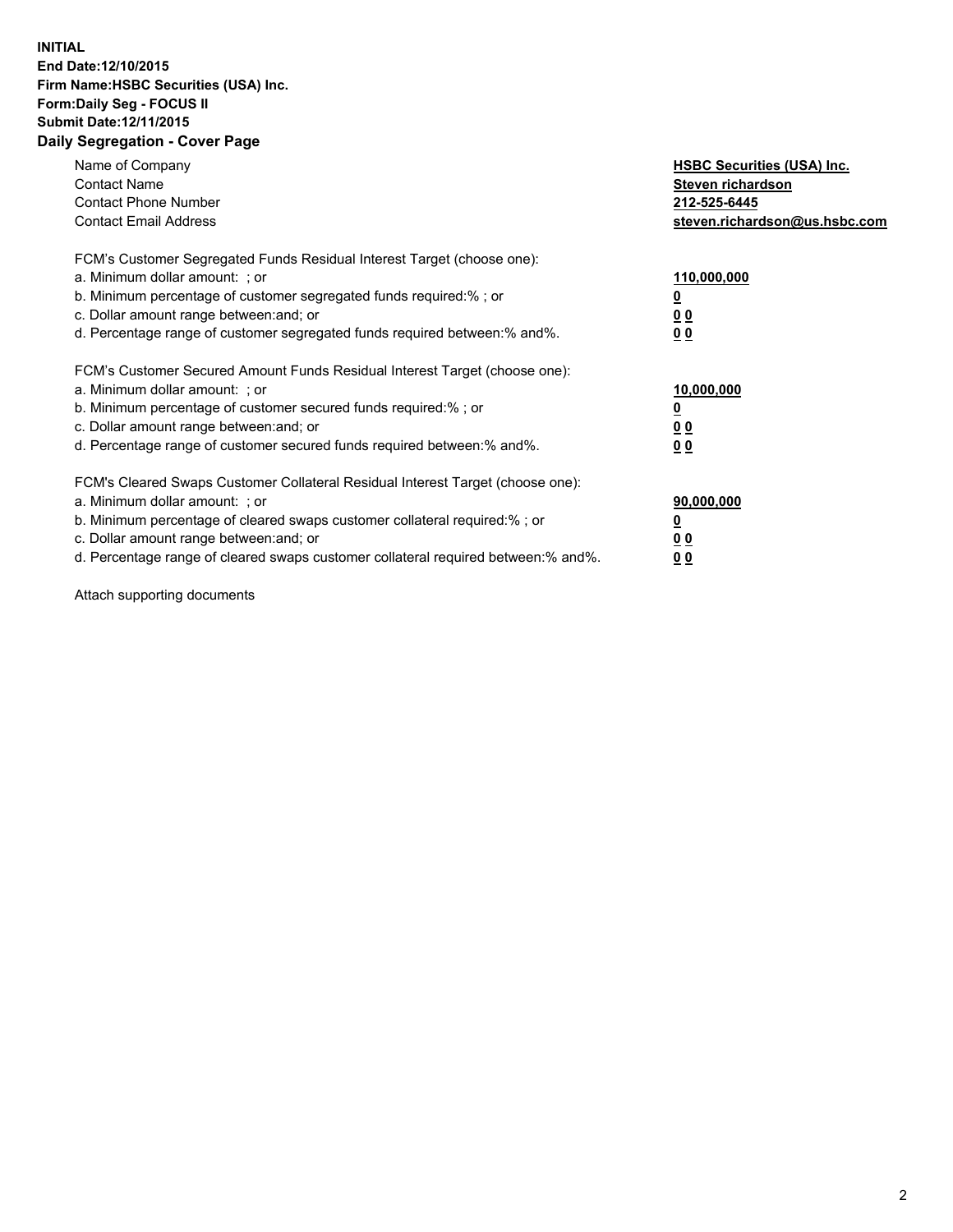## **INITIAL End Date:12/10/2015 Firm Name:HSBC Securities (USA) Inc. Form:Daily Seg - FOCUS II Submit Date:12/11/2015 Daily Segregation - Cover Page**

| Name of Company<br><b>Contact Name</b><br><b>Contact Phone Number</b><br><b>Contact Email Address</b>                                                                                                                                                                                                                          | <b>HSBC Securities (USA) Inc.</b><br>Steven richardson<br>212-525-6445<br>steven.richardson@us.hsbc.com |
|--------------------------------------------------------------------------------------------------------------------------------------------------------------------------------------------------------------------------------------------------------------------------------------------------------------------------------|---------------------------------------------------------------------------------------------------------|
| FCM's Customer Segregated Funds Residual Interest Target (choose one):<br>a. Minimum dollar amount: ; or<br>b. Minimum percentage of customer segregated funds required:%; or<br>c. Dollar amount range between: and; or<br>d. Percentage range of customer segregated funds required between: % and %.                        | 110,000,000<br><u>0</u><br>0 <sub>0</sub><br>0 <sub>0</sub>                                             |
| FCM's Customer Secured Amount Funds Residual Interest Target (choose one):<br>a. Minimum dollar amount: ; or<br>b. Minimum percentage of customer secured funds required:%; or<br>c. Dollar amount range between: and; or<br>d. Percentage range of customer secured funds required between:% and%.                            | 10,000,000<br>0 <sub>0</sub><br>00                                                                      |
| FCM's Cleared Swaps Customer Collateral Residual Interest Target (choose one):<br>a. Minimum dollar amount: ; or<br>b. Minimum percentage of cleared swaps customer collateral required:% ; or<br>c. Dollar amount range between: and; or<br>d. Percentage range of cleared swaps customer collateral required between:% and%. | 90,000,000<br><u>00</u><br>0 <sub>0</sub>                                                               |

Attach supporting documents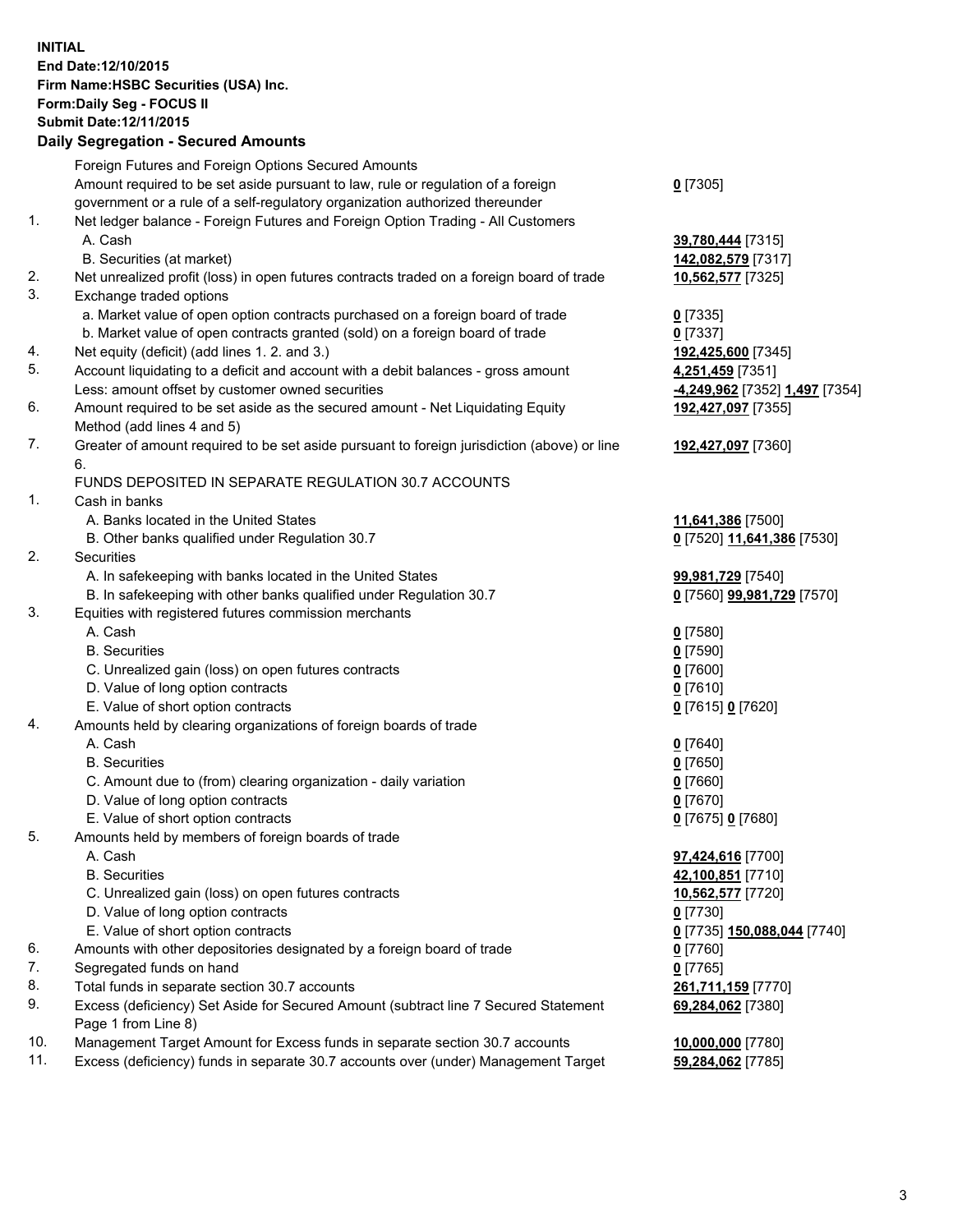**INITIAL End Date:12/10/2015 Firm Name:HSBC Securities (USA) Inc. Form:Daily Seg - FOCUS II Submit Date:12/11/2015 Daily Segregation - Secured Amounts**

## Foreign Futures and Foreign Options Secured Amounts Amount required to be set aside pursuant to law, rule or regulation of a foreign government or a rule of a self-regulatory organization authorized thereunder 1. Net ledger balance - Foreign Futures and Foreign Option Trading - All Customers A. Cash **39,780,444** [7315] B. Securities (at market) **142,082,579** [7317] 2. Net unrealized profit (loss) in open futures contracts traded on a foreign board of trade **10,562,577** [7325] 3. Exchange traded options a. Market value of open option contracts purchased on a foreign board of trade **0** [7335] b. Market value of open contracts granted (sold) on a foreign board of trade **0** [7337] 4. Net equity (deficit) (add lines 1. 2. and 3.) **192,425,600** [7345] 5. Account liquidating to a deficit and account with a debit balances - gross amount **4,251,459** [7351] Less: amount offset by customer owned securities **-4,249,962** [7352] **1,497** [7354] 6. Amount required to be set aside as the secured amount - Net Liquidating Equity Method (add lines 4 and 5) 7. Greater of amount required to be set aside pursuant to foreign jurisdiction (above) or line 6. FUNDS DEPOSITED IN SEPARATE REGULATION 30.7 ACCOUNTS 1. Cash in banks A. Banks located in the United States **11,641,386** [7500] B. Other banks qualified under Regulation 30.7 **0** [7520] **11,641,386** [7530] 2. Securities A. In safekeeping with banks located in the United States **99,981,729** [7540] B. In safekeeping with other banks qualified under Regulation 30.7 **0** [7560] **99,981,729** [7570] 3. Equities with registered futures commission merchants A. Cash **0** [7580] B. Securities **0** [7590] C. Unrealized gain (loss) on open futures contracts **0** [7600] D. Value of long option contracts **0** [7610] E. Value of short option contracts **0** [7615] **0** [7620] 4. Amounts held by clearing organizations of foreign boards of trade A. Cash **0** [7640] B. Securities **0** [7650] C. Amount due to (from) clearing organization - daily variation **0** [7660] D. Value of long option contracts **0** [7670]

- E. Value of short option contracts **0** [7675] **0** [7680]
- 5. Amounts held by members of foreign boards of trade
	-
	-
	- C. Unrealized gain (loss) on open futures contracts **10,562,577** [7720]
	- D. Value of long option contracts **0** [7730]
	- E. Value of short option contracts **0** [7735] **150,088,044** [7740]
- 6. Amounts with other depositories designated by a foreign board of trade **0** [7760]
- 7. Segregated funds on hand **0** [7765]
- 8. Total funds in separate section 30.7 accounts **261,711,159** [7770]
- 9. Excess (deficiency) Set Aside for Secured Amount (subtract line 7 Secured Statement Page 1 from Line 8)
- 10. Management Target Amount for Excess funds in separate section 30.7 accounts
- 11. Excess (deficiency) funds in separate 30.7 accounts over (under) Management Target

**0** [7305]

**192,427,097** [7355] **192,427,097** [7360]

 A. Cash **97,424,616** [7700] B. Securities **42,100,851** [7710] **69,284,062** [7380]

| 10,000,000 [7780]              |  |
|--------------------------------|--|
| <mark>59,284,062</mark> [7785] |  |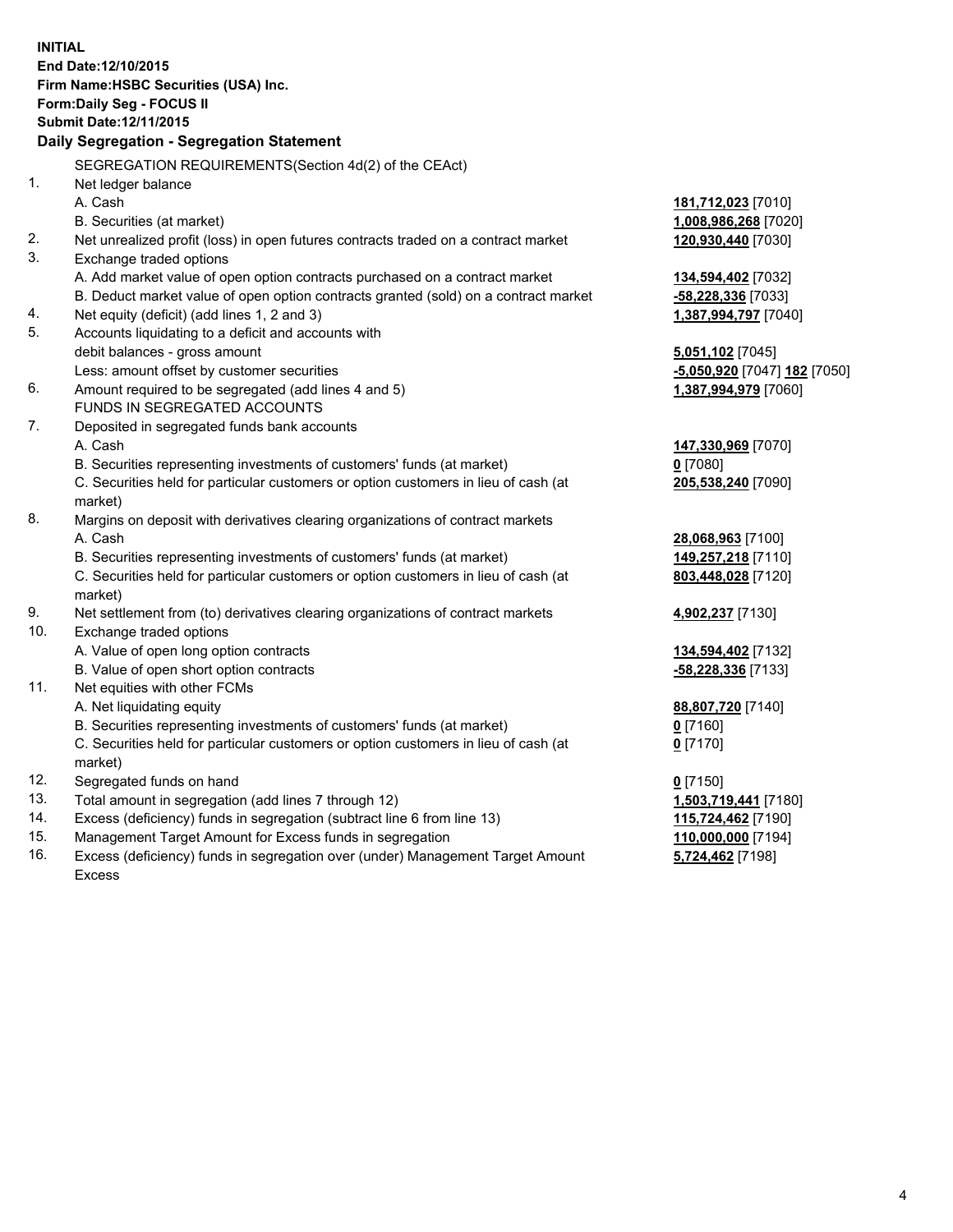**INITIAL End Date:12/10/2015 Firm Name:HSBC Securities (USA) Inc. Form:Daily Seg - FOCUS II Submit Date:12/11/2015 Daily Segregation - Segregation Statement** SEGREGATION REQUIREMENTS(Section 4d(2) of the CEAct) 1. Net ledger balance A. Cash **181,712,023** [7010] B. Securities (at market) **1,008,986,268** [7020] 2. Net unrealized profit (loss) in open futures contracts traded on a contract market **120,930,440** [7030] 3. Exchange traded options A. Add market value of open option contracts purchased on a contract market **134,594,402** [7032] B. Deduct market value of open option contracts granted (sold) on a contract market **-58,228,336** [7033] 4. Net equity (deficit) (add lines 1, 2 and 3) **1,387,994,797** [7040] 5. Accounts liquidating to a deficit and accounts with debit balances - gross amount **5,051,102** [7045] Less: amount offset by customer securities **-5,050,920** [7047] **182** [7050] 6. Amount required to be segregated (add lines 4 and 5) **1,387,994,979** [7060] FUNDS IN SEGREGATED ACCOUNTS 7. Deposited in segregated funds bank accounts A. Cash **147,330,969** [7070] B. Securities representing investments of customers' funds (at market) **0** [7080] C. Securities held for particular customers or option customers in lieu of cash (at market) **205,538,240** [7090] 8. Margins on deposit with derivatives clearing organizations of contract markets A. Cash **28,068,963** [7100] B. Securities representing investments of customers' funds (at market) **149,257,218** [7110] C. Securities held for particular customers or option customers in lieu of cash (at market) **803,448,028** [7120] 9. Net settlement from (to) derivatives clearing organizations of contract markets **4,902,237** [7130] 10. Exchange traded options A. Value of open long option contracts **134,594,402** [7132] B. Value of open short option contracts **-58,228,336** [7133] 11. Net equities with other FCMs A. Net liquidating equity **88,807,720** [7140] B. Securities representing investments of customers' funds (at market) **0** [7160] C. Securities held for particular customers or option customers in lieu of cash (at market) **0** [7170] 12. Segregated funds on hand **0** [7150] 13. Total amount in segregation (add lines 7 through 12) **1,503,719,441** [7180] 14. Excess (deficiency) funds in segregation (subtract line 6 from line 13) **115,724,462** [7190] 15. Management Target Amount for Excess funds in segregation **110,000,000** [7194]

16. Excess (deficiency) funds in segregation over (under) Management Target Amount Excess

**5,724,462** [7198]